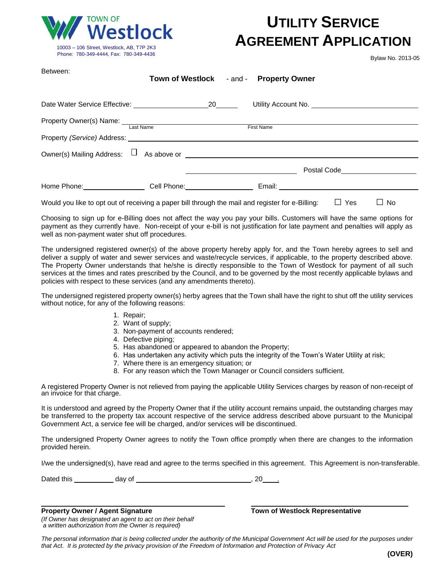

## **UTILITY SERVICE AGREEMENT APPLICATION**

Bylaw No. 2013-05

| Between:                                            | Town of Westlock - and - Property Owner |                   |                                                                                                                                                                                                                                      |  |
|-----------------------------------------------------|-----------------------------------------|-------------------|--------------------------------------------------------------------------------------------------------------------------------------------------------------------------------------------------------------------------------------|--|
| Date Water Service Effective: 20                    |                                         |                   |                                                                                                                                                                                                                                      |  |
| Property Owner(s) Name: Last Name                   |                                         | <b>First Name</b> |                                                                                                                                                                                                                                      |  |
|                                                     |                                         |                   |                                                                                                                                                                                                                                      |  |
| Owner(s) Mailing Address: $\Box$ As above or $\Box$ |                                         |                   |                                                                                                                                                                                                                                      |  |
|                                                     |                                         |                   | Postal Code <u>New York New York New York New York New York New York New York New York New York New York New York New York New York New York New York New York New York New York New York New York New York New York New York Ne</u> |  |
| Home Phone: Cell Phone: Cell Phone:                 |                                         |                   |                                                                                                                                                                                                                                      |  |

Would you like to opt out of receiving a paper bill through the mail and register for e-Billing:  $\Box$  Yes  $\Box$  No

Choosing to sign up for e-Billing does not affect the way you pay your bills. Customers will have the same options for payment as they currently have. Non-receipt of your e-bill is not justification for late payment and penalties will apply as well as non-payment water shut off procedures.

The undersigned registered owner(s) of the above property hereby apply for, and the Town hereby agrees to sell and deliver a supply of water and sewer services and waste/recycle services, if applicable, to the property described above. The Property Owner understands that he/she is directly responsible to the Town of Westlock for payment of all such services at the times and rates prescribed by the Council, and to be governed by the most recently applicable bylaws and policies with respect to these services (and any amendments thereto).

The undersigned registered property owner(s) herby agrees that the Town shall have the right to shut off the utility services without notice, for any of the following reasons:

- 1. Repair;
- 2. Want of supply;
- 3. Non-payment of accounts rendered;
- 4. Defective piping;
- 5. Has abandoned or appeared to abandon the Property;
- 6. Has undertaken any activity which puts the integrity of the Town's Water Utility at risk;
- 7. Where there is an emergency situation; or
- 8. For any reason which the Town Manager or Council considers sufficient.

A registered Property Owner is not relieved from paying the applicable Utility Services charges by reason of non-receipt of an invoice for that charge.

It is understood and agreed by the Property Owner that if the utility account remains unpaid, the outstanding charges may be transferred to the property tax account respective of the service address described above pursuant to the Municipal Government Act, a service fee will be charged, and/or services will be discontinued.

The undersigned Property Owner agrees to notify the Town office promptly when there are changes to the information provided herein.

I/we the undersigned(s), have read and agree to the terms specified in this agreement. This Agreement is non-transferable.

Dated this day of , 20 .

**Property Owner / Agent Signature Town of Westlock Representative**

*(If Owner has designated an agent to act on their behalf a written authorization from the Owner is required)*

The personal information that is being collected under the authority of the Municipal Government Act will be used for the purposes under *that Act. It is protected by the privacy provision of the Freedom of Information and Protection of Privacy Act*